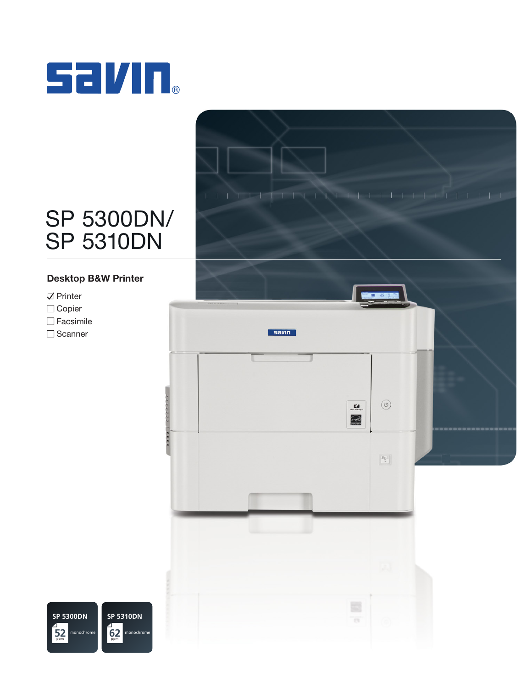

# SP 5300DN/ SP 5310DN

### Desktop B&W Printer

- $\nabla$  Printer
- □ Copier
- □ Facsimile
- □ Scanner





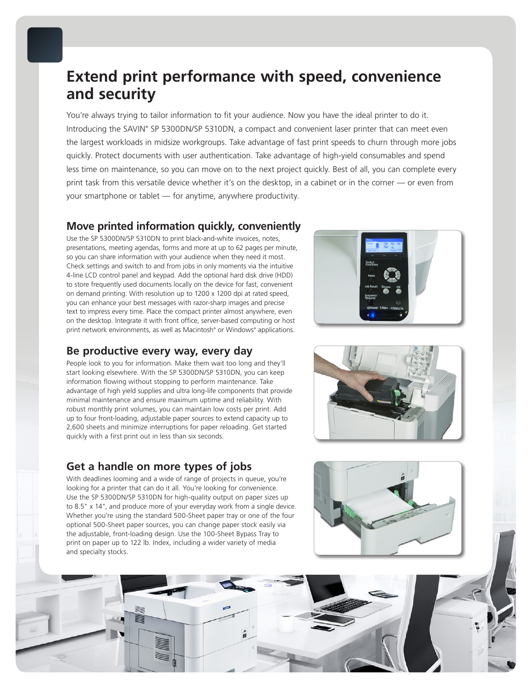## **Extend print performance with speed, convenience and security**

You're always trying to tailor information to fit your audience. Now you have the ideal printer to do it. Introducing the SAVIN® SP 5300DN/SP 5310DN, a compact and convenient laser printer that can meet even the largest workloads in midsize workgroups. Take advantage of fast print speeds to churn through more jobs quickly. Protect documents with user authentication. Take advantage of high-yield consumables and spend less time on maintenance, so you can move on to the next project quickly. Best of all, you can complete every print task from this versatile device whether it's on the desktop, in a cabinet or in the corner — or even from your smartphone or tablet — for anytime, anywhere productivity.

### **Move printed information quickly, conveniently**

Use the SP 5300DN/SP 5310DN to print black-and-white invoices, notes, presentations, meeting agendas, forms and more at up to 62 pages per minute, so you can share information with your audience when they need it most. Check settings and switch to and from jobs in only moments via the intuitive 4-line LCD control panel and keypad. Add the optional hard disk drive (HDD) to store frequently used documents locally on the device for fast, convenient on demand printing. With resolution up to 1200 x 1200 dpi at rated speed, you can enhance your best messages with razor-sharp images and precise text to impress every time. Place the compact printer almost anywhere, even on the desktop. Integrate it with front office, server-based computing or host print network environments, as well as Macintosh® or Windows® applications.

### **Be productive every way, every day**

People look to you for information. Make them wait too long and they'll start looking elsewhere. With the SP 5300DN/SP 5310DN, you can keep information flowing without stopping to perform maintenance. Take advantage of high yield supplies and ultra long-life components that provide minimal maintenance and ensure maximum uptime and reliability. With robust monthly print volumes, you can maintain low costs per print. Add up to four front-loading, adjustable paper sources to extend capacity up to 2,600 sheets and minimize interruptions for paper reloading. Get started quickly with a first print out in less than six seconds.

### **Get a handle on more types of jobs**

With deadlines looming and a wide of range of projects in queue, you're looking for a printer that can do it all. You're looking for convenience. Use the SP 5300DN/SP 5310DN for high-quality output on paper sizes up to 8.5" x 14", and produce more of your everyday work from a single device. Whether you're using the standard 500-Sheet paper tray or one of the four optional 500-Sheet paper sources, you can change paper stock easily via the adjustable, front-loading design. Use the 100-Sheet Bypass Tray to print on paper up to 122 lb. Index, including a wider variety of media and specialty stocks.







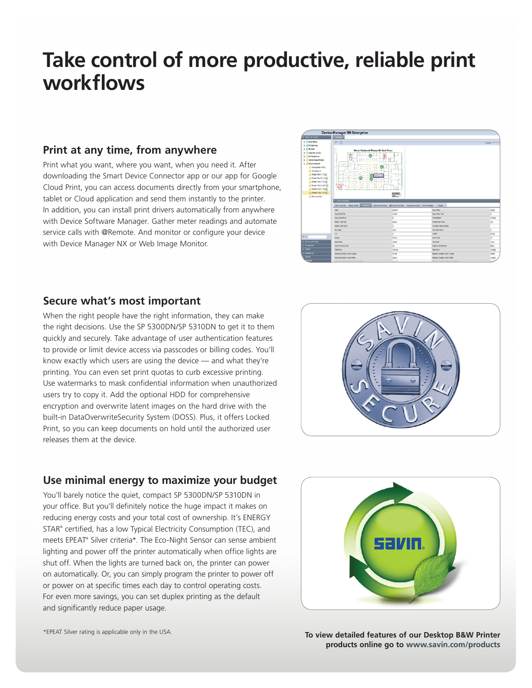## **Take control of more productive, reliable print workflows**

### **Print at any time, from anywhere**

Print what you want, where you want, when you need it. After downloading the Smart Device Connector app or our app for Google Cloud Print, you can access documents directly from your smartphone, tablet or Cloud application and send them instantly to the printer. In addition, you can install print drivers automatically from anywhere with Device Software Manager. Gather meter readings and automate service calls with @Remote. And monitor or configure your device with Device Manager NX or Web Image Monitor.



### **Secure what's most important**

When the right people have the right information, they can make the right decisions. Use the SP 5300DN/SP 5310DN to get it to them quickly and securely. Take advantage of user authentication features to provide or limit device access via passcodes or billing codes. You'll know exactly which users are using the device — and what they're printing. You can even set print quotas to curb excessive printing. Use watermarks to mask confidential information when unauthorized users try to copy it. Add the optional HDD for comprehensive encryption and overwrite latent images on the hard drive with the built-in DataOverwriteSecurity System (DOSS). Plus, it offers Locked Print, so you can keep documents on hold until the authorized user releases them at the device.



### **Use minimal energy to maximize your budget**

You'll barely notice the quiet, compact SP 5300DN/SP 5310DN in your office. But you'll definitely notice the huge impact it makes on reducing energy costs and your total cost of ownership. It's ENERGY STAR® certified, has a low Typical Electricity Consumption (TEC), and meets EPEAT® Silver criteria\*. The Eco-Night Sensor can sense ambient lighting and power off the printer automatically when office lights are shut off. When the lights are turned back on, the printer can power on automatically. Or, you can simply program the printer to power off or power on at specific times each day to control operating costs. For even more savings, you can set duplex printing as the default and significantly reduce paper usage.



\*EPEAT Silver rating is applicable only in the USA.

**To view detailed features of our Desktop B&W Printer products online go to www.savin.com/products**